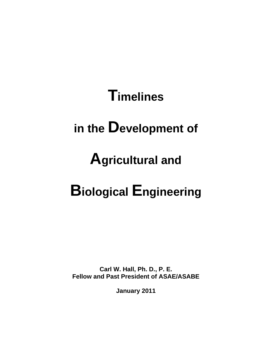# **Timelines**

## **in the Development of**

## **Agricultural and**

# **Biological Engineering**

**Carl W. Hall, Ph. D., P. E. Fellow and Past President of ASAE/ASABE** 

**January 2011**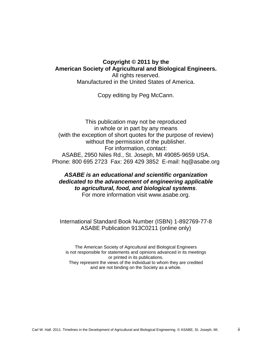#### **Copyright © 2011 by the American Society of Agricultural and Biological Engineers.**  All rights reserved.

Manufactured in the United States of America.

Copy editing by Peg McCann.

This publication may not be reproduced in whole or in part by any means (with the exception of short quotes for the purpose of review) without the permission of the publisher. For information, contact: ASABE, 2950 Niles Rd., St. Joseph, MI 49085-9659 USA. Phone: 800 695 2723 Fax: 269 429 3852 E-mail: hq@asabe.org

#### *ASABE is an educational and scientific organization dedicated to the advancement of engineering applicable to agricultural, food, and biological systems*. For more information visit www.asabe.org.

#### International Standard Book Number (ISBN) 1-892769-77-8 ASABE Publication 913C0211 (online only)

The American Society of Agricultural and Biological Engineers is not responsible for statements and opinions advanced in its meetings or printed in its publications. They represent the views of the individual to whom they are credited and are not binding on the Society as a whole.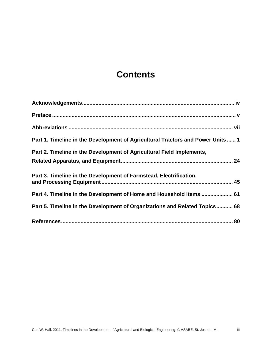## **Contents**

| Part 1. Timeline in the Development of Agricultural Tractors and Power Units 1 |
|--------------------------------------------------------------------------------|
| Part 2. Timeline in the Development of Agricultural Field Implements,          |
|                                                                                |
| Part 3. Timeline in the Development of Farmstead, Electrification,             |
| Part 4. Timeline in the Development of Home and Household Items  61            |
| Part 5. Timeline in the Development of Organizations and Related Topics 68     |
|                                                                                |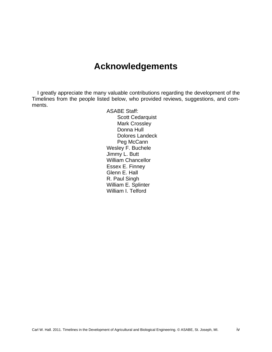### **Acknowledgements**

I greatly appreciate the many valuable contributions regarding the development of the Timelines from the people listed below, who provided reviews, suggestions, and comments.

> ASABE Staff: Scott Cedarquist Mark Crossley Donna Hull Dolores Landeck Peg McCann Wesley F. Buchele Jimmy L. Butt William Chancellor Essex E. Finney Glenn E. Hall R. Paul Singh William E. Splinter William I. Telford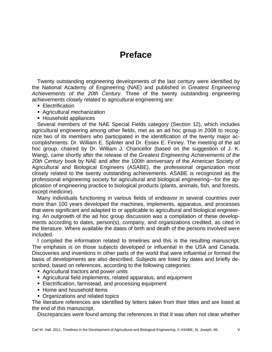## **Preface**

Twenty outstanding engineering developments of the last century were identified by the National Academy of Engineering (NAE) and published in *Greatest Engineering Achievements of the 20th Century*. Three of the twenty outstanding engineering achievements closely related to agricultural engineering are:

- **Electrification**
- Agricultural mechanization
- Household appliances

Several members of the NAE Special Fields category (Section 12), which includes agricultural engineering among other fields, met as an ad hoc group in 2008 to recognize two of its members who participated in the identification of the twenty major accomplishments: Dr. William E. Splinter and Dr. Essex E. Finney. The meeting of the ad hoc group, chaired by Dr. William J. Chancellor (based on the suggestion of J. K. Wang), came shortly after the release of the *Greatest Engineering Achievements of the 20th Century* book by NAE and after the 100th anniversary of the American Society of Agricultural and Biological Engineers (ASABE), the professional organization most closely related to the twenty outstanding achievements. ASABE is recognized as the professional engineering society for agricultural and biological engineering—for the application of engineering practice to biological products (plants, animals, fish, and forests, except medicine).

Many individuals functioning in various fields of endeavor in several countries over more than 100 years developed the machines, implements, apparatus, and processes that were significant and adapted to or applicable to agricultural and biological engineering. An outgrowth of the ad hoc group discussion was a compilation of these developments according to dates, person(s), company, and organizations credited, as cited in the literature. Where available the dates of birth and death of the persons involved were included.

I compiled the information related to timelines and this is the resulting manuscript. The emphasis is on those subjects developed or influential in the USA and Canada. Discoveries and inventions in other parts of the world that were influential or formed the basis of developments are also described. Subjects are listed by dates and briefly described, based on references, according to the following categories:

- Agricultural tractors and power units
- Agricultural field implements, related apparatus, and equipment
- **Electrification, farmstead, and processing equipment**
- Home and household items
- Organizations and related topics

The literature references are identified by letters taken from their titles and are listed at the end of this manuscript.

Discrepancies were found among the references in that it was often not clear whether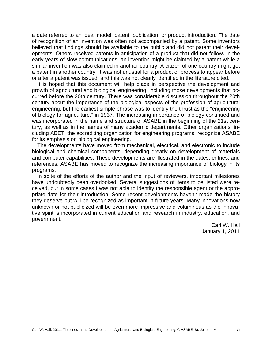a date referred to an idea, model, patent, publication, or product introduction. The date of recognition of an invention was often not accompanied by a patent. Some inventors believed that findings should be available to the public and did not patent their developments. Others received patents in anticipation of a product that did not follow. In the early years of slow communications, an invention might be claimed by a patent while a similar invention was also claimed in another country. A citizen of one country might get a patent in another country. It was not unusual for a product or process to appear before or after a patent was issued, and this was not clearly identified in the literature cited.

It is hoped that this document will help place in perspective the development and growth of agricultural and biological engineering, including those developments that occurred before the 20th century. There was considerable discussion throughout the 20th century about the importance of the biological aspects of the profession of agricultural engineering, but the earliest simple phrase was to identify the thrust as the "engineering of biology for agriculture," in 1937. The increasing importance of biology continued and was incorporated in the name and structure of ASABE in the beginning of the 21st century, as well as in the names of many academic departments. Other organizations, including ABET, the accrediting organization for engineering programs, recognize ASABE for its emphasis on biological engineering.

The developments have moved from mechanical, electrical, and electronic to include biological and chemical components, depending greatly on development of materials and computer capabilities. These developments are illustrated in the dates, entries, and references. ASABE has moved to recognize the increasing importance of biology in its programs.

In spite of the efforts of the author and the input of reviewers, important milestones have undoubtedly been overlooked. Several suggestions of items to be listed were received, but in some cases I was not able to identify the responsible agent or the appropriate date for their introduction. Some recent developments haven't made the history they deserve but will be recognized as important in future years. Many innovations now unknown or not publicized will be even more impressive and voluminous as the innovative spirit is incorporated in current education and research in industry, education, and government.

> Carl W. Hall January 1, 2011